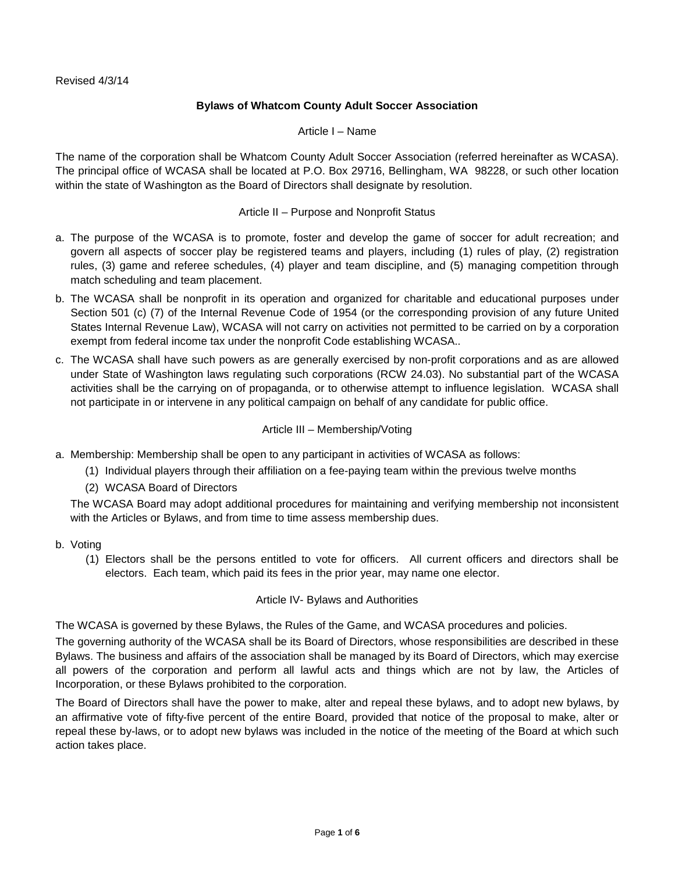# **Bylaws of Whatcom County Adult Soccer Association**

Article I – Name

The name of the corporation shall be Whatcom County Adult Soccer Association (referred hereinafter as WCASA). The principal office of WCASA shall be located at P.O. Box 29716, Bellingham, WA 98228, or such other location within the state of Washington as the Board of Directors shall designate by resolution.

### Article II – Purpose and Nonprofit Status

- a. The purpose of the WCASA is to promote, foster and develop the game of soccer for adult recreation; and govern all aspects of soccer play be registered teams and players, including (1) rules of play, (2) registration rules, (3) game and referee schedules, (4) player and team discipline, and (5) managing competition through match scheduling and team placement.
- b. The WCASA shall be nonprofit in its operation and organized for charitable and educational purposes under Section 501 (c) (7) of the Internal Revenue Code of 1954 (or the corresponding provision of any future United States Internal Revenue Law), WCASA will not carry on activities not permitted to be carried on by a corporation exempt from federal income tax under the nonprofit Code establishing WCASA..
- c. The WCASA shall have such powers as are generally exercised by non-profit corporations and as are allowed under State of Washington laws regulating such corporations (RCW 24.03). No substantial part of the WCASA activities shall be the carrying on of propaganda, or to otherwise attempt to influence legislation. WCASA shall not participate in or intervene in any political campaign on behalf of any candidate for public office.

### Article III – Membership/Voting

- a. Membership: Membership shall be open to any participant in activities of WCASA as follows:
	- (1) Individual players through their affiliation on a fee-paying team within the previous twelve months
	- (2) WCASA Board of Directors

The WCASA Board may adopt additional procedures for maintaining and verifying membership not inconsistent with the Articles or Bylaws, and from time to time assess membership dues.

- b. Voting
	- (1) Electors shall be the persons entitled to vote for officers. All current officers and directors shall be electors. Each team, which paid its fees in the prior year, may name one elector.

## Article IV- Bylaws and Authorities

The WCASA is governed by these Bylaws, the Rules of the Game, and WCASA procedures and policies.

The governing authority of the WCASA shall be its Board of Directors, whose responsibilities are described in these Bylaws. The business and affairs of the association shall be managed by its Board of Directors, which may exercise all powers of the corporation and perform all lawful acts and things which are not by law, the Articles of Incorporation, or these Bylaws prohibited to the corporation.

The Board of Directors shall have the power to make, alter and repeal these bylaws, and to adopt new bylaws, by an affirmative vote of fifty-five percent of the entire Board, provided that notice of the proposal to make, alter or repeal these by-laws, or to adopt new bylaws was included in the notice of the meeting of the Board at which such action takes place.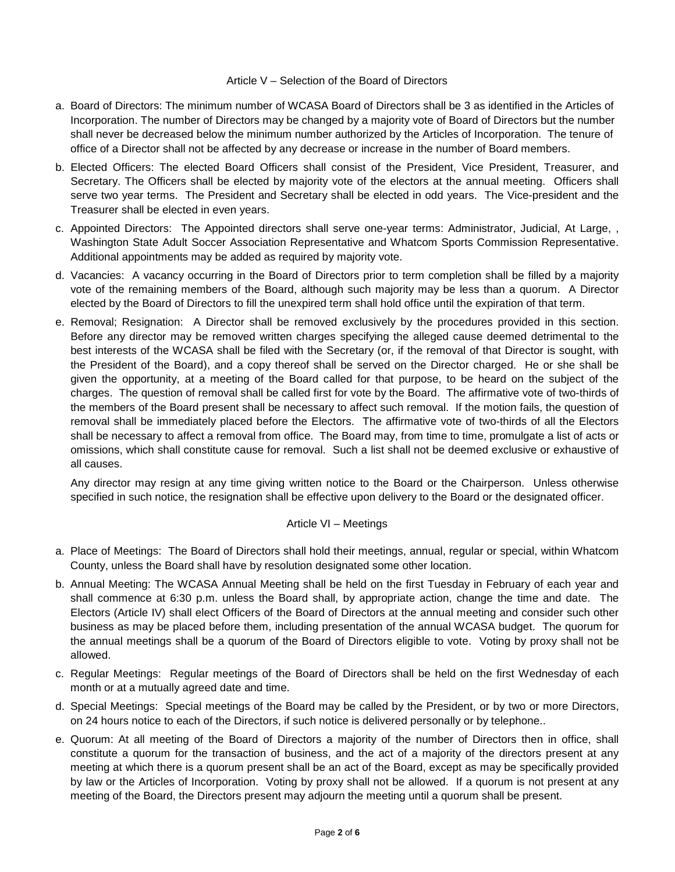### Article V – Selection of the Board of Directors

- a. Board of Directors: The minimum number of WCASA Board of Directors shall be 3 as identified in the Articles of Incorporation. The number of Directors may be changed by a majority vote of Board of Directors but the number shall never be decreased below the minimum number authorized by the Articles of Incorporation. The tenure of office of a Director shall not be affected by any decrease or increase in the number of Board members.
- b. Elected Officers: The elected Board Officers shall consist of the President, Vice President, Treasurer, and Secretary. The Officers shall be elected by majority vote of the electors at the annual meeting. Officers shall serve two year terms. The President and Secretary shall be elected in odd years. The Vice-president and the Treasurer shall be elected in even years.
- c. Appointed Directors: The Appointed directors shall serve one-year terms: Administrator, Judicial, At Large, , Washington State Adult Soccer Association Representative and Whatcom Sports Commission Representative. Additional appointments may be added as required by majority vote.
- d. Vacancies: A vacancy occurring in the Board of Directors prior to term completion shall be filled by a majority vote of the remaining members of the Board, although such majority may be less than a quorum. A Director elected by the Board of Directors to fill the unexpired term shall hold office until the expiration of that term.
- e. Removal; Resignation: A Director shall be removed exclusively by the procedures provided in this section. Before any director may be removed written charges specifying the alleged cause deemed detrimental to the best interests of the WCASA shall be filed with the Secretary (or, if the removal of that Director is sought, with the President of the Board), and a copy thereof shall be served on the Director charged. He or she shall be given the opportunity, at a meeting of the Board called for that purpose, to be heard on the subject of the charges. The question of removal shall be called first for vote by the Board. The affirmative vote of two-thirds of the members of the Board present shall be necessary to affect such removal. If the motion fails, the question of removal shall be immediately placed before the Electors. The affirmative vote of two-thirds of all the Electors shall be necessary to affect a removal from office. The Board may, from time to time, promulgate a list of acts or omissions, which shall constitute cause for removal. Such a list shall not be deemed exclusive or exhaustive of all causes.

Any director may resign at any time giving written notice to the Board or the Chairperson. Unless otherwise specified in such notice, the resignation shall be effective upon delivery to the Board or the designated officer.

## Article VI – Meetings

- a. Place of Meetings: The Board of Directors shall hold their meetings, annual, regular or special, within Whatcom County, unless the Board shall have by resolution designated some other location.
- b. Annual Meeting: The WCASA Annual Meeting shall be held on the first Tuesday in February of each year and shall commence at 6:30 p.m. unless the Board shall, by appropriate action, change the time and date. The Electors (Article IV) shall elect Officers of the Board of Directors at the annual meeting and consider such other business as may be placed before them, including presentation of the annual WCASA budget. The quorum for the annual meetings shall be a quorum of the Board of Directors eligible to vote. Voting by proxy shall not be allowed.
- c. Regular Meetings: Regular meetings of the Board of Directors shall be held on the first Wednesday of each month or at a mutually agreed date and time.
- d. Special Meetings: Special meetings of the Board may be called by the President, or by two or more Directors, on 24 hours notice to each of the Directors, if such notice is delivered personally or by telephone..
- e. Quorum: At all meeting of the Board of Directors a majority of the number of Directors then in office, shall constitute a quorum for the transaction of business, and the act of a majority of the directors present at any meeting at which there is a quorum present shall be an act of the Board, except as may be specifically provided by law or the Articles of Incorporation. Voting by proxy shall not be allowed. If a quorum is not present at any meeting of the Board, the Directors present may adjourn the meeting until a quorum shall be present.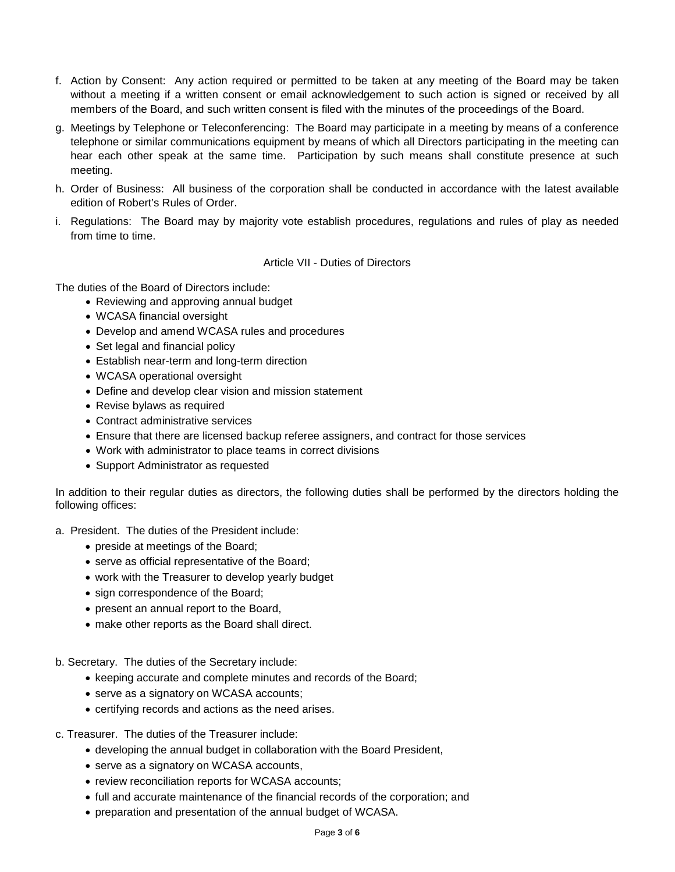- f. Action by Consent: Any action required or permitted to be taken at any meeting of the Board may be taken without a meeting if a written consent or email acknowledgement to such action is signed or received by all members of the Board, and such written consent is filed with the minutes of the proceedings of the Board.
- g. Meetings by Telephone or Teleconferencing: The Board may participate in a meeting by means of a conference telephone or similar communications equipment by means of which all Directors participating in the meeting can hear each other speak at the same time. Participation by such means shall constitute presence at such meeting.
- h. Order of Business: All business of the corporation shall be conducted in accordance with the latest available edition of Robert's Rules of Order.
- i. Regulations: The Board may by majority vote establish procedures, regulations and rules of play as needed from time to time.

Article VII - Duties of Directors

The duties of the Board of Directors include:

- Reviewing and approving annual budget
- WCASA financial oversight
- Develop and amend WCASA rules and procedures
- Set legal and financial policy
- Establish near-term and long-term direction
- WCASA operational oversight
- Define and develop clear vision and mission statement
- Revise bylaws as required
- Contract administrative services
- Ensure that there are licensed backup referee assigners, and contract for those services
- Work with administrator to place teams in correct divisions
- Support Administrator as requested

In addition to their regular duties as directors, the following duties shall be performed by the directors holding the following offices:

- a. President. The duties of the President include:
	- preside at meetings of the Board;
	- serve as official representative of the Board;
	- work with the Treasurer to develop yearly budget
	- sign correspondence of the Board;
	- present an annual report to the Board,
	- make other reports as the Board shall direct.
- b. Secretary. The duties of the Secretary include:
	- keeping accurate and complete minutes and records of the Board;
	- serve as a signatory on WCASA accounts;
	- certifying records and actions as the need arises.
- c. Treasurer. The duties of the Treasurer include:
	- developing the annual budget in collaboration with the Board President,
	- serve as a signatory on WCASA accounts,
	- review reconciliation reports for WCASA accounts;
	- full and accurate maintenance of the financial records of the corporation; and
	- preparation and presentation of the annual budget of WCASA.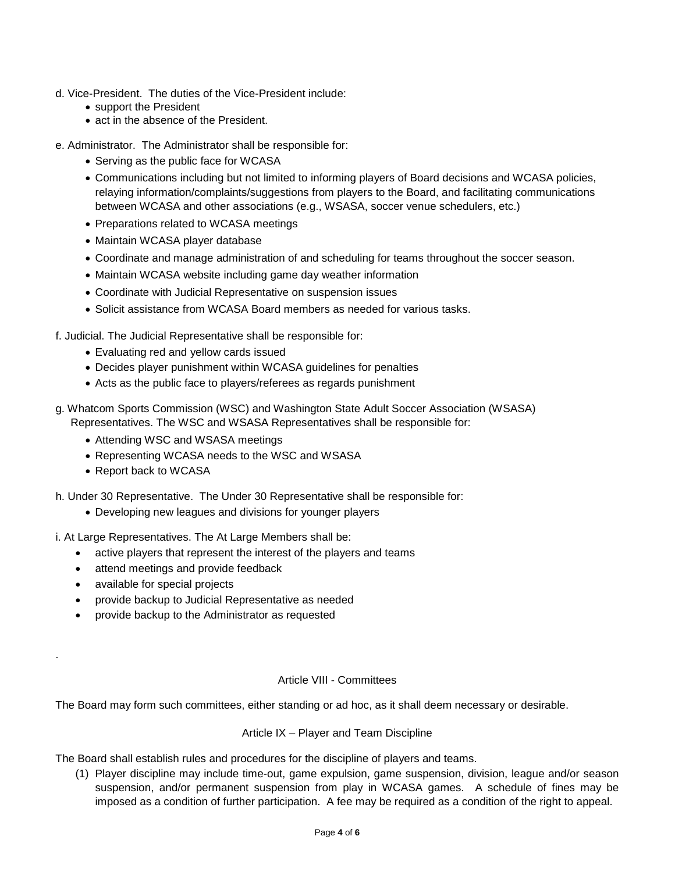- d. Vice-President. The duties of the Vice-President include:
	- support the President
	- act in the absence of the President.
- e. Administrator. The Administrator shall be responsible for:
	- Serving as the public face for WCASA
	- Communications including but not limited to informing players of Board decisions and WCASA policies, relaying information/complaints/suggestions from players to the Board, and facilitating communications between WCASA and other associations (e.g., WSASA, soccer venue schedulers, etc.)
	- Preparations related to WCASA meetings
	- Maintain WCASA player database
	- Coordinate and manage administration of and scheduling for teams throughout the soccer season.
	- Maintain WCASA website including game day weather information
	- Coordinate with Judicial Representative on suspension issues
	- Solicit assistance from WCASA Board members as needed for various tasks.
- f. Judicial. The Judicial Representative shall be responsible for:
	- Evaluating red and yellow cards issued
	- Decides player punishment within WCASA guidelines for penalties
	- Acts as the public face to players/referees as regards punishment
- g. Whatcom Sports Commission (WSC) and Washington State Adult Soccer Association (WSASA) Representatives. The WSC and WSASA Representatives shall be responsible for:
	- Attending WSC and WSASA meetings
	- Representing WCASA needs to the WSC and WSASA
	- Report back to WCASA

h. Under 30 Representative. The Under 30 Representative shall be responsible for:

- Developing new leagues and divisions for younger players
- i. At Large Representatives. The At Large Members shall be:
	- active players that represent the interest of the players and teams
	- attend meetings and provide feedback
	- available for special projects

.

- provide backup to Judicial Representative as needed
- provide backup to the Administrator as requested

#### Article VIII - Committees

The Board may form such committees, either standing or ad hoc, as it shall deem necessary or desirable.

#### Article IX – Player and Team Discipline

The Board shall establish rules and procedures for the discipline of players and teams.

(1) Player discipline may include time-out, game expulsion, game suspension, division, league and/or season suspension, and/or permanent suspension from play in WCASA games. A schedule of fines may be imposed as a condition of further participation. A fee may be required as a condition of the right to appeal.